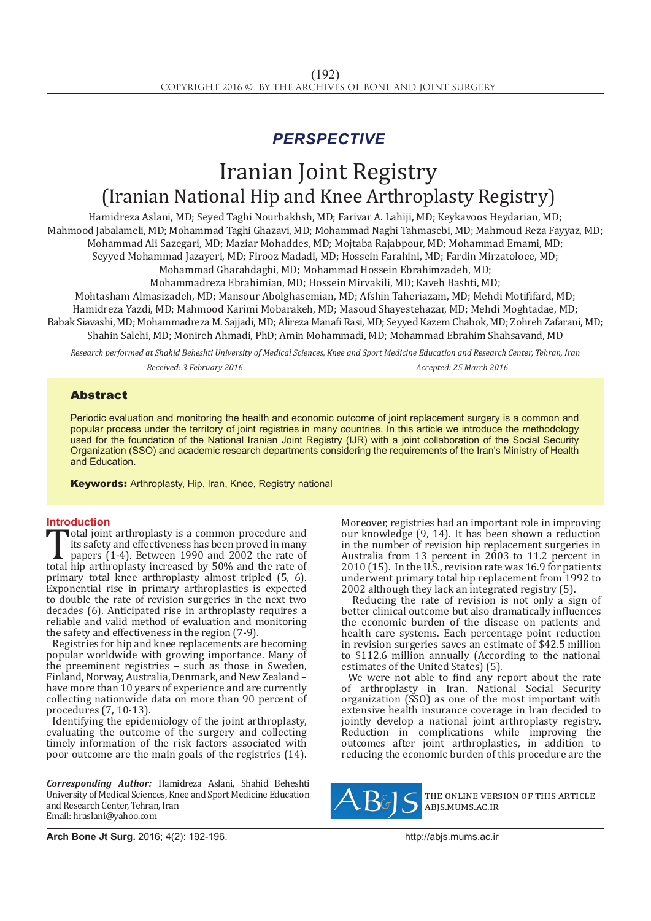## *PERSPECTIVE*

# Iranian Joint Registry (Iranian National Hip and Knee Arthroplasty Registry)

Hamidreza Aslani, MD; Seyed Taghi Nourbakhsh, MD; Farivar A. Lahiji, MD; Keykavoos Heydarian, MD; Mahmood Jabalameli, MD; Mohammad Taghi Ghazavi, MD; Mohammad Naghi Tahmasebi, MD; Mahmoud Reza Fayyaz, MD; Mohammad Ali Sazegari, MD; Maziar Mohaddes, MD; Mojtaba Rajabpour, MD; Mohammad Emami, MD; Seyyed Mohammad Jazayeri, MD; Firooz Madadi, MD; Hossein Farahini, MD; Fardin Mirzatoloee, MD;

Mohammad Gharahdaghi, MD; Mohammad Hossein Ebrahimzadeh, MD;

Mohammadreza Ebrahimian, MD; Hossein Mirvakili, MD; Kaveh Bashti, MD;

Mohtasham Almasizadeh, MD; Mansour Abolghasemian, MD; Afshin Taheriazam, MD; Mehdi Motififard, MD; Hamidreza Yazdi, MD; Mahmood Karimi Mobarakeh, MD; Masoud Shayestehazar, MD; Mehdi Moghtadae, MD; Babak Siavashi, MD; Mohammadreza M. Sajjadi, MD; Alireza Manafi Rasi, MD; Seyyed Kazem Chabok, MD; Zohreh Zafarani, MD; Shahin Salehi, MD; Monireh Ahmadi, PhD; Amin Mohammadi, MD; Mohammad Ebrahim Shahsavand, MD

*Research performed at Shahid Beheshti University of Medical Sciences, Knee and Sport Medicine Education and Research Center, Tehran, Iran Received: 3 February 2016 Accepted: 25 March 2016*

### Abstract

Periodic evaluation and monitoring the health and economic outcome of joint replacement surgery is a common and popular process under the territory of joint registries in many countries. In this article we introduce the methodology used for the foundation of the National Iranian Joint Registry (IJR) with a joint collaboration of the Social Security Organization (SSO) and academic research departments considering the requirements of the Iran's Ministry of Health and Education.

Keywords: Arthroplasty, Hip, Iran, Knee, Registry national

**Introduction**<br>**T**otal joint arthroplasty is a common procedure and Total joint arthroplasty is a common procedure and<br>
its safety and effectiveness has been proved in many<br>
papers (1-4). Between 1990 and 2002 the rate of<br>
total hip arthroplasty increased by 50% and the rate of<br>
primary to its safety and effectiveness has been proved in many papers (1-4). Between 1990 and 2002 the rate of primary total knee arthroplasty almost tripled (5, 6). Exponential rise in primary arthroplasties is expected to double the rate of revision surgeries in the next two decades (6). Anticipated rise in arthroplasty requires a reliable and valid method of evaluation and monitoring the safety and effectiveness in the region (7-9).

Registries for hip and knee replacements are becoming popular worldwide with growing importance. Many of the preeminent registries – such as those in Sweden, Finland, Norway, Australia, Denmark, and New Zealand – have more than 10 years of experience and are currently collecting nationwide data on more than 90 percent of procedures (7, 10-13).

Identifying the epidemiology of the joint arthroplasty, evaluating the outcome of the surgery and collecting timely information of the risk factors associated with poor outcome are the main goals of the registries (14).

*Corresponding Author:* Hamidreza Aslani, Shahid Beheshti University of Medical Sciences, Knee and Sport Medicine Education and Research Center, Tehran, Iran Email: hraslani@yahoo.com

Moreover, registries had an important role in improving our knowledge (9, 14). It has been shown a reduction in the number of revision hip replacement surgeries in Australia from 13 percent in 2003 to 11.2 percent in 2010 (15). In the U.S., revision rate was 16.9 for patients underwent primary total hip replacement from 1992 to 2002 although they lack an integrated registry (5).

 Reducing the rate of revision is not only a sign of better clinical outcome but also dramatically influences the economic burden of the disease on patients and health care systems. Each percentage point reduction in revision surgeries saves an estimate of \$42.5 million to \$112.6 million annually (According to the national estimates of the United States) (5).

We were not able to find any report about the rate of arthroplasty in Iran. National Social Security organization (SSO) as one of the most important with extensive health insurance coverage in Iran decided to jointly develop a national joint arthroplasty registry. Reduction in complications while improving the outcomes after joint arthroplasties, in addition to reducing the economic burden of this procedure are the



the online version of this article abjs.mums.ac.ir

**Arch Bone Jt Surg.** 2016; 4(2): 192-196.http://abjs.mums.ac.ir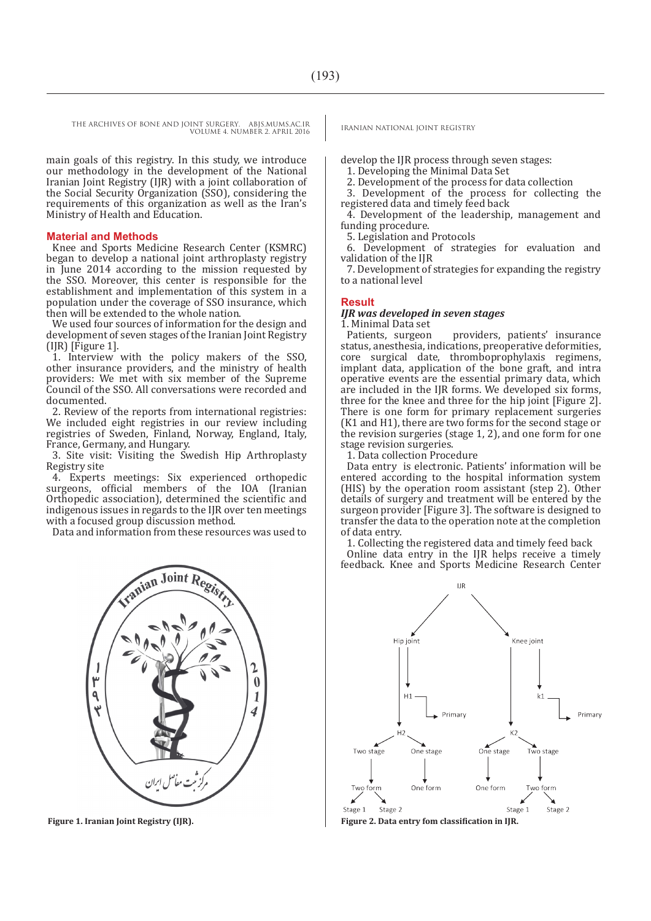main goals of this registry. In this study, we introduce our methodology in the development of the National Iranian Joint Registry (IJR) with a joint collaboration of the Social Security Organization (SSO), considering the requirements of this organization as well as the Iran's Ministry of Health and Education.

#### **Material and Methods**

Knee and Sports Medicine Research Center (KSMRC) began to develop a national joint arthroplasty registry in June 2014 according to the mission requested by the SSO. Moreover, this center is responsible for the establishment and implementation of this system in a population under the coverage of SSO insurance, which then will be extended to the whole nation.

We used four sources of information for the design and development of seven stages of the Iranian Joint Registry (IJR) [Figure 1].

1. Interview with the policy makers of the SSO, other insurance providers, and the ministry of health providers: We met with six member of the Supreme Council of the SSO. All conversations were recorded and documented.

2. Review of the reports from international registries: We included eight registries in our review including registries of Sweden, Finland, Norway, England, Italy, France, Germany, and Hungary.

3. Site visit: Visiting the Swedish Hip Arthroplasty Registry site

4. Experts meetings: Six experienced orthopedic surgeons, official members of the IOA (Iranian Orthopedic association), determined the scientific and indigenous issues in regards to the IJR over ten meetings with a focused group discussion method.

Data and information from these resources was used to



develop the IJR process through seven stages:

1. Developing the Minimal Data Set

2. Development of the process for data collection

3. Development of the process for collecting the registered data and timely feed back

4. Development of the leadership, management and funding procedure.

5. Legislation and Protocols

6. Development of strategies for evaluation and validation of the IJR

7. Development of strategies for expanding the registry to a national level

#### **Result**

#### *IJR was developed in seven stages*

1. Minimal Data set

providers, patients' insurance status, anesthesia, indications, preoperative deformities, core surgical date, thromboprophylaxis regimens, implant data, application of the bone graft, and intra operative events are the essential primary data, which are included in the IJR forms. We developed six forms, three for the knee and three for the hip joint [Figure 2]. There is one form for primary replacement surgeries (K1 and H1), there are two forms for the second stage or the revision surgeries (stage 1, 2), and one form for one stage revision surgeries.

1. Data collection Procedure

Data entry is electronic. Patients' information will be entered according to the hospital information system (HIS) by the operation room assistant (step 2). Other details of surgery and treatment will be entered by the surgeon provider [Figure 3]. The software is designed to transfer the data to the operation note at the completion of data entry.

1. Collecting the registered data and timely feed back Online data entry in the IJR helps receive a timely feedback. Knee and Sports Medicine Research Center



**Figure 1. Iranian Joint Registry (IJR). Figure 2. Data entry fom classification in IJR.**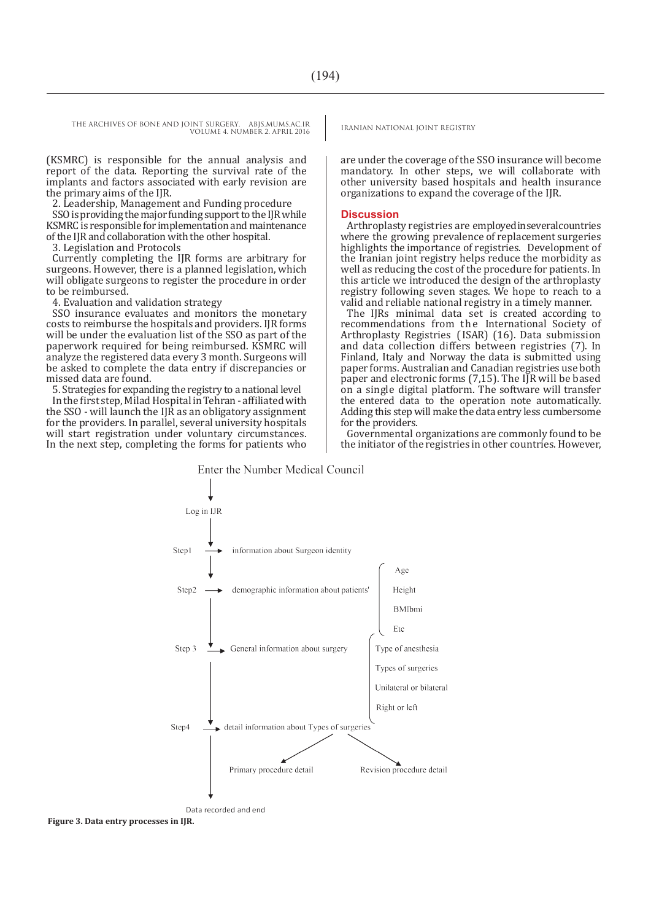(KSMRC) is responsible for the annual analysis and report of the data. Reporting the survival rate of the implants and factors associated with early revision are the primary aims of the IJR.

2. Leadership, Management and Funding procedure SSO is providing the major funding support to the IJR while KSMRC is responsible for implementation and maintenance of the IJR and collaboration with the other hospital.

3. Legislation and Protocols

Currently completing the IJR forms are arbitrary for surgeons. However, there is a planned legislation, which will obligate surgeons to register the procedure in order to be reimbursed.

4. Evaluation and validation strategy

SSO insurance evaluates and monitors the monetary costs to reimburse the hospitals and providers. IJR forms will be under the evaluation list of the SSO as part of the paperwork required for being reimbursed. KSMRC will analyze the registered data every 3 month. Surgeons will be asked to complete the data entry if discrepancies or missed data are found.

5. Strategies for expanding the registry to a national level In the first step, Milad Hospital in Tehran - affiliated with the SSO - will launch the IJR as an obligatory assignment for the providers. In parallel, several university hospitals will start registration under voluntary circumstances. In the next step, completing the forms for patients who

are under the coverage of the SSO insurance will become mandatory. In other steps, we will collaborate with other university based hospitals and health insurance organizations to expand the coverage of the IJR.

#### **Discussion**

Arthroplasty registries are employed in several countries where the growing prevalence of replacement surgeries highlights the importance of registries. Development of the Iranian joint registry helps reduce the morbidity as well as reducing the cost of the procedure for patients. In this article we introduced the design of the arthroplasty registry following seven stages. We hope to reach to a valid and reliable national registry in a timely manner.

The IJRs minimal data set is created according to recommendations from the International Society of Arthroplasty Registries ( ISAR) (16). Data submission and data collection differs between registries (7). In Finland, Italy and Norway the data is submitted using paper forms. Australian and Canadian registries use both paper and electronic forms (7,15). The IJR will be based on a single digital platform. The software will transfer the entered data to the operation note automatically. Adding this step will make the data entry less cumbersome for the providers.

Governmental organizations are commonly found to be the initiator of the registries in other countries. However,



**Figure 3. Data entry processes in IJR.**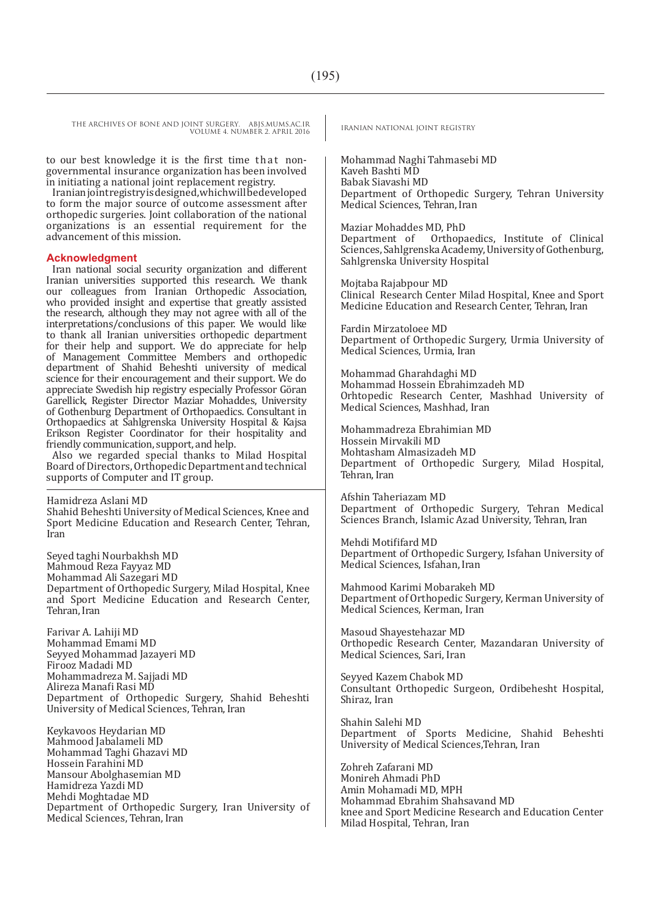to our best knowledge it is the first time that nongovernmental insurance organization has been involved in initiating a national joint replacement registry.

Iranian joint registry is designed, which will be developed to form the major source of outcome assessment after orthopedic surgeries. Joint collaboration of the national organizations is an essential requirement for the advancement of this mission.

#### **Acknowledgment**

Iran national social security organization and different Iranian universities supported this research. We thank our colleagues from Iranian Orthopedic Association, who provided insight and expertise that greatly assisted the research, although they may not agree with all of the interpretations/conclusions of this paper. We would like to thank all Iranian universities orthopedic department for their help and support. We do appreciate for help of Management Committee Members and orthopedic department of Shahid Beheshti university of medical science for their encouragement and their support. We do appreciate Swedish hip registry especially Professor Göran Garellick, Register Director Maziar Mohaddes, University of Gothenburg Department of Orthopaedics. Consultant in Orthopaedics at Sahlgrenska University Hospital & Kajsa Erikson Register Coordinator for their hospitality and friendly communication, support, and help.

Also we regarded special thanks to Milad Hospital Board of Directors, Orthopedic Department and technical supports of Computer and IT group.

Hamidreza Aslani MD Shahid Beheshti University of Medical Sciences, Knee and Sport Medicine Education and Research Center, Tehran, Iran

Seyed taghi Nourbakhsh MD Mahmoud Reza Fayyaz MD Mohammad Ali Sazegari MD Department of Orthopedic Surgery, Milad Hospital, Knee and Sport Medicine Education and Research Center, Tehran, Iran

Farivar A. Lahiji MD Mohammad Emami MD Seyyed Mohammad Jazayeri MD Firooz Madadi MD Mohammadreza M. Sajjadi MD Alireza Manafi Rasi MD Department of Orthopedic Surgery, Shahid Beheshti University of Medical Sciences, Tehran, Iran

Keykavoos Heydarian MD Mahmood Jabalameli MD Mohammad Taghi Ghazavi MD Hossein Farahini MD Mansour Abolghasemian MD Hamidreza Yazdi MD Mehdi Moghtadae MD Department of Orthopedic Surgery, Iran University of Medical Sciences, Tehran, Iran

Mohammad Naghi Tahmasebi MD Kaveh Bashti MD Babak Siavashi MD Department of Orthopedic Surgery, Tehran University Medical Sciences, Tehran, Iran

Maziar Mohaddes MD, PhD Orthopaedics, Institute of Clinical Sciences, Sahlgrenska Academy, University of Gothenburg, Sahlgrenska University Hospital

Mojtaba Rajabpour MD Clinical Research Center Milad Hospital, Knee and Sport Medicine Education and Research Center, Tehran, Iran

Fardin Mirzatoloee MD Department of Orthopedic Surgery, Urmia University of Medical Sciences, Urmia, Iran

Mohammad Gharahdaghi MD Mohammad Hossein Ebrahimzadeh MD Orhtopedic Research Center, Mashhad University of Medical Sciences, Mashhad, Iran

Mohammadreza Ebrahimian MD Hossein Mirvakili MD Mohtasham Almasizadeh MD Department of Orthopedic Surgery, Milad Hospital, Tehran, Iran

Afshin Taheriazam MD Department of Orthopedic Surgery, Tehran Medical Sciences Branch, Islamic Azad University, Tehran, Iran

Mehdi Motififard MD Department of Orthopedic Surgery, Isfahan University of Medical Sciences, Isfahan, Iran

Mahmood Karimi Mobarakeh MD Department of Orthopedic Surgery, Kerman University of Medical Sciences, Kerman, Iran

Masoud Shayestehazar MD Orthopedic Research Center, Mazandaran University of Medical Sciences, Sari, Iran

Seyyed Kazem Chabok MD Consultant Orthopedic Surgeon, Ordibehesht Hospital, Shiraz, Iran

Shahin Salehi MD Department of Sports Medicine, Shahid Beheshti University of Medical Sciences,Tehran, Iran

Zohreh Zafarani MD Monireh Ahmadi PhD Amin Mohamadi MD, MPH Mohammad Ebrahim Shahsavand MD knee and Sport Medicine Research and Education Center Milad Hospital, Tehran, Iran